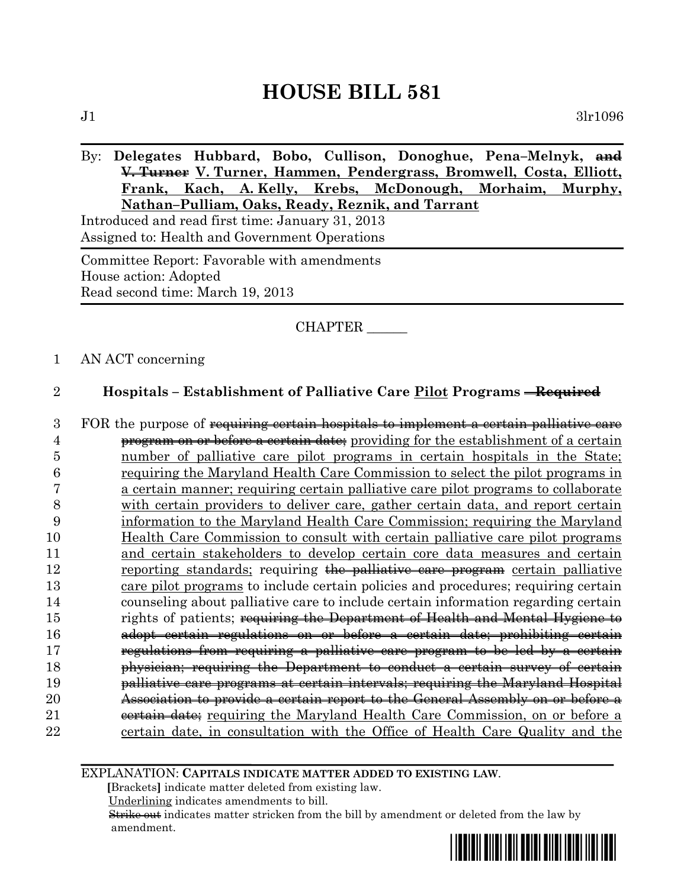# **HOUSE BILL 581**

## By: **Delegates Hubbard, Bobo, Cullison, Donoghue, Pena–Melnyk, and V. Turner V. Turner, Hammen, Pendergrass, Bromwell, Costa, Elliott, Frank, Kach, A. Kelly, Krebs, McDonough, Morhaim, Murphy, Nathan–Pulliam, Oaks, Ready, Reznik, and Tarrant**

Introduced and read first time: January 31, 2013 Assigned to: Health and Government Operations

Committee Report: Favorable with amendments House action: Adopted Read second time: March 19, 2013

## CHAPTER \_\_\_\_\_\_

#### 1 AN ACT concerning

### 2 **Hospitals – Establishment of Palliative Care Pilot Programs – Required**

3 FOR the purpose of requiring certain hospitals to implement a certain palliative care **program on or before a certain date;** providing for the establishment of a certain number of palliative care pilot programs in certain hospitals in the State; requiring the Maryland Health Care Commission to select the pilot programs in a certain manner; requiring certain palliative care pilot programs to collaborate with certain providers to deliver care, gather certain data, and report certain information to the Maryland Health Care Commission; requiring the Maryland Health Care Commission to consult with certain palliative care pilot programs 11 and certain stakeholders to develop certain core data measures and certain 12 reporting standards; requiring the palliative care program certain palliative care pilot programs to include certain policies and procedures; requiring certain counseling about palliative care to include certain information regarding certain **rights of patients**; requiring the Department of Health and Mental Hygiene to adopt certain regulations on or before a certain date; prohibiting certain regulations from requiring a palliative care program to be led by a certain physician; requiring the Department to conduct a certain survey of certain palliative care programs at certain intervals; requiring the Maryland Hospital Association to provide a certain report to the General Assembly on or before a 21 certain date; requiring the Maryland Health Care Commission, on or before a certain date, in consultation with the Office of Health Care Quality and the

EXPLANATION: **CAPITALS INDICATE MATTER ADDED TO EXISTING LAW**.

 **[**Brackets**]** indicate matter deleted from existing law.

Underlining indicates amendments to bill.

 Strike out indicates matter stricken from the bill by amendment or deleted from the law by amendment.

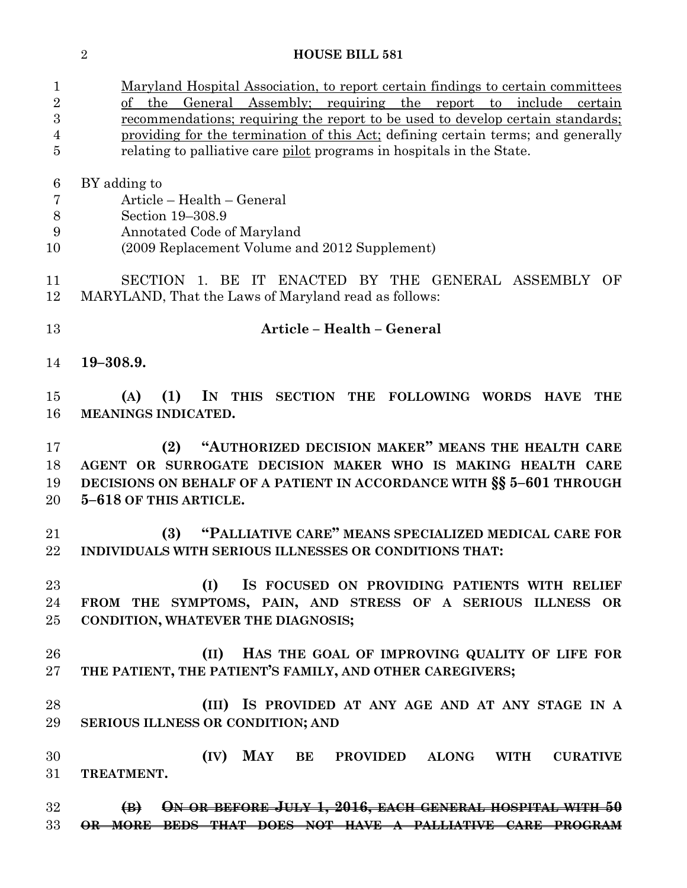| <b>HOUSE BILL 581</b> |
|-----------------------|
|                       |

| $\mathbf{1}$   | <u>Maryland Hospital Association, to report certain findings to certain committees</u> |  |
|----------------|----------------------------------------------------------------------------------------|--|
| $\overline{2}$ | the General Assembly; requiring the report to include certain<br>οf                    |  |
| 3              | <u>recommendations; requiring the report to be used to develop certain standards;</u>  |  |
| 4              | providing for the termination of this Act; defining certain terms; and generally       |  |
| 5              | relating to palliative care pilot programs in hospitals in the State.                  |  |
| 6              | BY adding to                                                                           |  |
| 7              | Article – Health – General                                                             |  |
| 8              | Section 19-308.9                                                                       |  |
| 9              | Annotated Code of Maryland                                                             |  |
| 10             | (2009 Replacement Volume and 2012 Supplement)                                          |  |
| 11             | SECTION 1. BE<br>IT ENACTED BY THE GENERAL ASSEMBLY OF                                 |  |
| 12             | MARYLAND, That the Laws of Maryland read as follows:                                   |  |
| 13             | Article - Health - General                                                             |  |
| 14             | $19 - 308.9.$                                                                          |  |
| 15             | (1)<br>IN THIS SECTION THE FOLLOWING WORDS HAVE<br>(A)<br><b>THE</b>                   |  |
| 16             | MEANINGS INDICATED.                                                                    |  |
|                |                                                                                        |  |
| 17             | "AUTHORIZED DECISION MAKER" MEANS THE HEALTH CARE<br>(2)                               |  |
| 18             | AGENT OR SURROGATE DECISION MAKER WHO IS MAKING HEALTH CARE                            |  |
| 19             | DECISIONS ON BEHALF OF A PATIENT IN ACCORDANCE WITH SS 5-601 THROUGH                   |  |
| 20             | 5-618 OF THIS ARTICLE.                                                                 |  |
| 21             | "PALLIATIVE CARE" MEANS SPECIALIZED MEDICAL CARE FOR<br>(3)                            |  |
| 22             | INDIVIDUALS WITH SERIOUS ILLNESSES OR CONDITIONS THAT:                                 |  |
| 23             | IS FOCUSED ON PROVIDING PATIENTS WITH RELIEF<br>(I)                                    |  |
| 24             | FROM THE SYMPTOMS, PAIN, AND STRESS OF A SERIOUS ILLNESS OR                            |  |
| 25             | CONDITION, WHATEVER THE DIAGNOSIS;                                                     |  |
|                |                                                                                        |  |
| 26             | HAS THE GOAL OF IMPROVING QUALITY OF LIFE FOR<br>(II)                                  |  |
| 27             | THE PATIENT, THE PATIENT'S FAMILY, AND OTHER CAREGIVERS;                               |  |
| 28             | (III) IS PROVIDED AT ANY AGE AND AT ANY STAGE IN A                                     |  |
| 29             | SERIOUS ILLNESS OR CONDITION; AND                                                      |  |
| 30             | <b>MAY BE PROVIDED</b><br>(IV)<br><b>ALONG</b><br><b>WITH</b><br><b>CURATIVE</b>       |  |
| 31             | TREATMENT.                                                                             |  |
| $32\,$         | ON OR BEFORE JULY 1, 2016, EACH GENERAL HOSPITAL WITH 50<br>$\bigoplus$                |  |
| 33             | <b>BEDS THAT DOES NOT HAVE A PALLIATIVE CARE PROGRAM</b><br><del>OR MORE</del>         |  |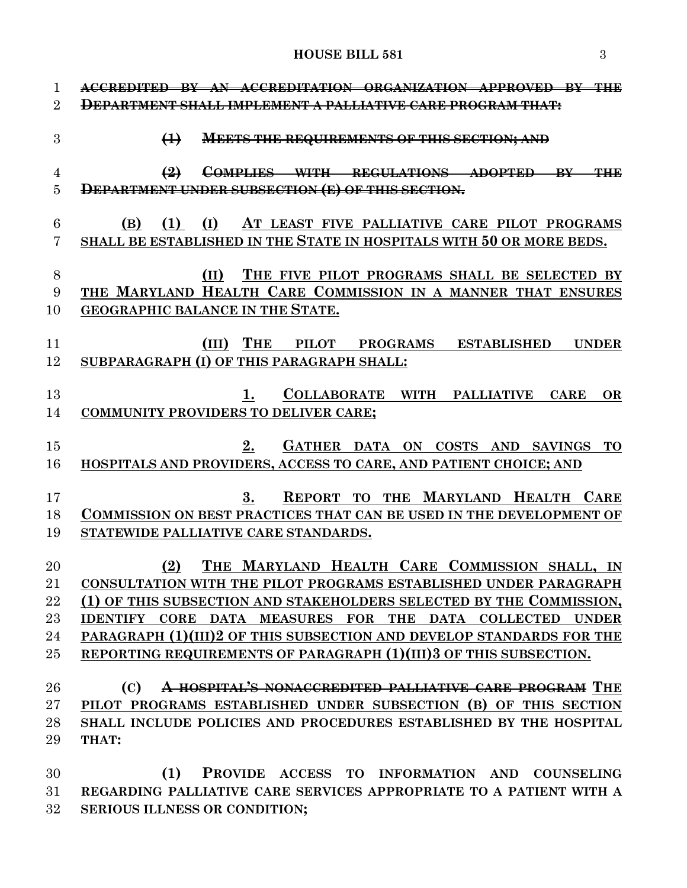**HOUSE BILL 581** 3

| 1<br>$\overline{2}$ | AN ACCREDITATION ORGANIZATION APPROVED BY THE<br><del>ACCREDITED RY</del><br>DEPARTMENT SHALL IMPLEMENT A PALLIATIVE CARE PROGRAM THAT: |
|---------------------|-----------------------------------------------------------------------------------------------------------------------------------------|
| 3                   | <b>MEETS THE REQUIREMENTS OF THIS SECTION; AND</b><br>$\bigoplus$                                                                       |
| 4                   | $\left(2\right)$<br>COMPLIES WITH REGULATIONS ADOPTED BY<br>44 H E                                                                      |
| 5                   | DEPARTMENT UNDER SUBSECTION (E) OF THIS SECTION.                                                                                        |
| 6                   | (B)<br>(1)<br>(I)<br>AT LEAST FIVE PALLIATIVE CARE PILOT PROGRAMS                                                                       |
| 7                   | SHALL BE ESTABLISHED IN THE STATE IN HOSPITALS WITH 50 OR MORE BEDS.                                                                    |
|                     |                                                                                                                                         |
| 8                   | THE FIVE PILOT PROGRAMS SHALL BE SELECTED BY<br>(II)                                                                                    |
| 9                   | THE MARYLAND HEALTH CARE COMMISSION IN A MANNER THAT ENSURES<br>GEOGRAPHIC BALANCE IN THE STATE.                                        |
| 10                  |                                                                                                                                         |
| 11                  | THE<br>(III)<br>PILOT PROGRAMS ESTABLISHED<br><b>UNDER</b>                                                                              |
| 12                  | SUBPARAGRAPH (I) OF THIS PARAGRAPH SHALL:                                                                                               |
| 13                  | COLLABORATE WITH PALLIATIVE<br><b>CARE</b><br><b>OR</b><br>1.                                                                           |
| 14                  | <b>COMMUNITY PROVIDERS TO DELIVER CARE;</b>                                                                                             |
|                     |                                                                                                                                         |
| 15                  | GATHER DATA ON COSTS AND SAVINGS<br>2.<br><b>TO</b>                                                                                     |
| 16                  | HOSPITALS AND PROVIDERS, ACCESS TO CARE, AND PATIENT CHOICE; AND                                                                        |
| 17                  | REPORT TO THE MARYLAND HEALTH CARE<br>3.                                                                                                |
| 18                  | <b>COMMISSION ON BEST PRACTICES THAT CAN BE USED IN THE DEVELOPMENT OF</b>                                                              |
| 19                  | STATEWIDE PALLIATIVE CARE STANDARDS.                                                                                                    |
| 20                  | THE MARYLAND HEALTH CARE COMMISSION SHALL, IN<br>(2)                                                                                    |
| 21                  | CONSULTATION WITH THE PILOT PROGRAMS ESTABLISHED UNDER PARAGRAPH                                                                        |
| 22                  | (1) OF THIS SUBSECTION AND STAKEHOLDERS SELECTED BY THE COMMISSION,                                                                     |
| 23                  | IDENTIFY CORE DATA MEASURES FOR THE DATA COLLECTED UNDER                                                                                |
| 24                  | PARAGRAPH (1)(III)2 OF THIS SUBSECTION AND DEVELOP STANDARDS FOR THE                                                                    |
| $25\,$              | REPORTING REQUIREMENTS OF PARAGRAPH (1)(III)3 OF THIS SUBSECTION.                                                                       |
| 26                  | A HOSPITAL'S NONACCREDITED PALLIATIVE CARE PROGRAM THE<br>(C)                                                                           |
| $27\,$              | PILOT PROGRAMS ESTABLISHED UNDER SUBSECTION (B) OF THIS SECTION                                                                         |
| 28                  | SHALL INCLUDE POLICIES AND PROCEDURES ESTABLISHED BY THE HOSPITAL                                                                       |
| 29                  | THAT:                                                                                                                                   |
|                     |                                                                                                                                         |

 **(1) PROVIDE ACCESS TO INFORMATION AND COUNSELING REGARDING PALLIATIVE CARE SERVICES APPROPRIATE TO A PATIENT WITH A SERIOUS ILLNESS OR CONDITION;**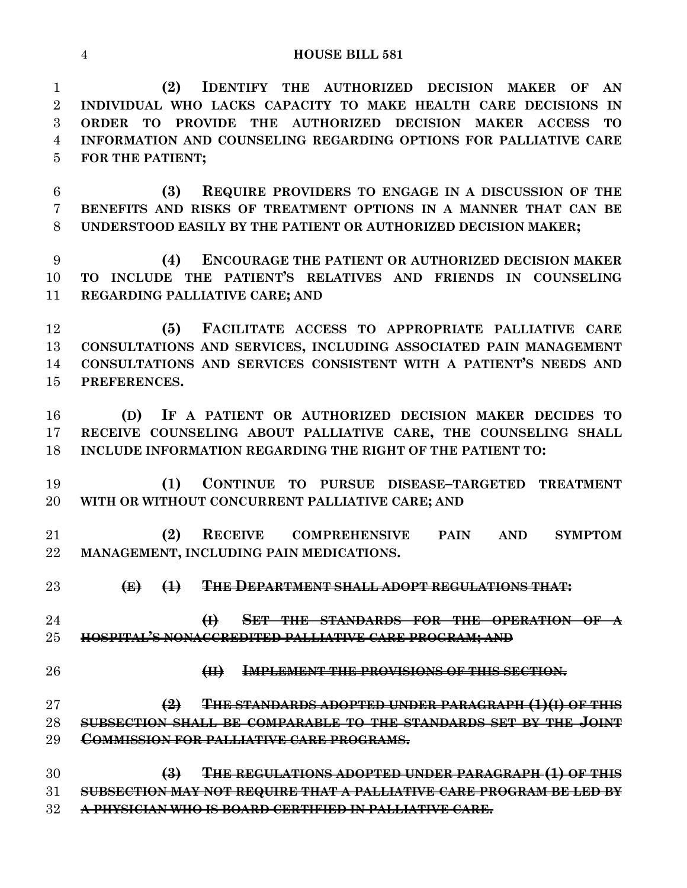**HOUSE BILL 581**

 **(2) IDENTIFY THE AUTHORIZED DECISION MAKER OF AN INDIVIDUAL WHO LACKS CAPACITY TO MAKE HEALTH CARE DECISIONS IN ORDER TO PROVIDE THE AUTHORIZED DECISION MAKER ACCESS TO INFORMATION AND COUNSELING REGARDING OPTIONS FOR PALLIATIVE CARE FOR THE PATIENT;**

 **(3) REQUIRE PROVIDERS TO ENGAGE IN A DISCUSSION OF THE BENEFITS AND RISKS OF TREATMENT OPTIONS IN A MANNER THAT CAN BE UNDERSTOOD EASILY BY THE PATIENT OR AUTHORIZED DECISION MAKER;**

 **(4) ENCOURAGE THE PATIENT OR AUTHORIZED DECISION MAKER TO INCLUDE THE PATIENT'S RELATIVES AND FRIENDS IN COUNSELING REGARDING PALLIATIVE CARE; AND**

 **(5) FACILITATE ACCESS TO APPROPRIATE PALLIATIVE CARE CONSULTATIONS AND SERVICES, INCLUDING ASSOCIATED PAIN MANAGEMENT CONSULTATIONS AND SERVICES CONSISTENT WITH A PATIENT'S NEEDS AND PREFERENCES.**

 **(D) IF A PATIENT OR AUTHORIZED DECISION MAKER DECIDES TO RECEIVE COUNSELING ABOUT PALLIATIVE CARE, THE COUNSELING SHALL INCLUDE INFORMATION REGARDING THE RIGHT OF THE PATIENT TO:**

 **(1) CONTINUE TO PURSUE DISEASE–TARGETED TREATMENT WITH OR WITHOUT CONCURRENT PALLIATIVE CARE; AND**

 **(2) RECEIVE COMPREHENSIVE PAIN AND SYMPTOM MANAGEMENT, INCLUDING PAIN MEDICATIONS.**

**(E) (1) THE DEPARTMENT SHALL ADOPT REGULATIONS THAT:**

 **(I) SET THE STANDARDS FOR THE OPERATION OF A HOSPITAL'S NONACCREDITED PALLIATIVE CARE PROGRAM; AND** 

**(II) IMPLEMENT THE PROVISIONS OF THIS SECTION.**

 **(2) THE STANDARDS ADOPTED UNDER PARAGRAPH (1)(I) OF THIS SUBSECTION SHALL BE COMPARABLE TO THE STANDARDS SET BY THE JOINT COMMISSION FOR PALLIATIVE CARE PROGRAMS.**

 **(3) THE REGULATIONS ADOPTED UNDER PARAGRAPH (1) OF THIS SUBSECTION MAY NOT REQUIRE THAT A PALLIATIVE CARE PROGRAM BE LED BY A PHYSICIAN WHO IS BOARD CERTIFIED IN PALLIATIVE CARE.**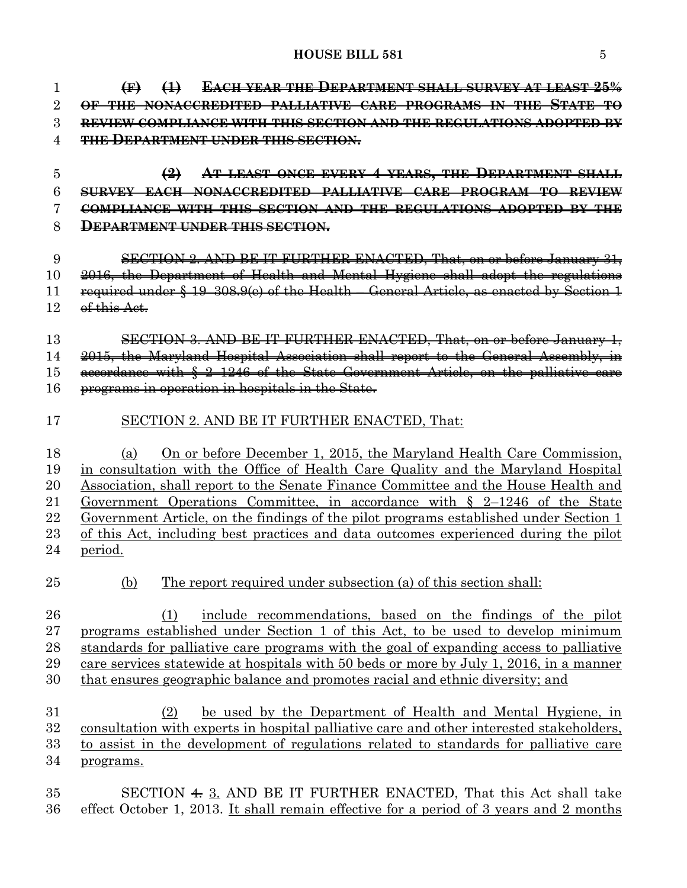**(F) (1) EACH YEAR THE DEPARTMENT SHALL SURVEY AT LEAST 25% OF THE NONACCREDITED PALLIATIVE CARE PROGRAMS IN THE STATE TO REVIEW COMPLIANCE WITH THIS SECTION AND THE REGULATIONS ADOPTED BY THE DEPARTMENT UNDER THIS SECTION. (2) AT LEAST ONCE EVERY 4 YEARS, THE DEPARTMENT SHALL SURVEY EACH NONACCREDITED PALLIATIVE CARE PROGRAM TO REVIEW COMPLIANCE WITH THIS SECTION AND THE REGULATIONS ADOPTED BY THE DEPARTMENT UNDER THIS SECTION.** SECTION 2. AND BE IT FURTHER ENACTED, That, on or before January 31, 2016, the Department of Health and Mental Hygiene shall adopt the regulations required under § 19–308.9(e) of the Health – General Article, as enacted by Section 1 12 of this Act. SECTION 3. AND BE IT FURTHER ENACTED, That, on or before January 1, 2015, the Maryland Hospital Association shall report to the General Assembly, in accordance with § 2–1246 of the State Government Article, on the palliative care programs in operation in hospitals in the State. SECTION 2. AND BE IT FURTHER ENACTED, That: (a) On or before December 1, 2015, the Maryland Health Care Commission, in consultation with the Office of Health Care Quality and the Maryland Hospital Association, shall report to the Senate Finance Committee and the House Health and Government Operations Committee, in accordance with § 2–1246 of the State Government Article, on the findings of the pilot programs established under Section 1 of this Act, including best practices and data outcomes experienced during the pilot period. (b) The report required under subsection (a) of this section shall: 26 (1) include recommendations, based on the findings of the pilot programs established under Section 1 of this Act, to be used to develop minimum standards for palliative care programs with the goal of expanding access to palliative care services statewide at hospitals with 50 beds or more by July 1, 2016, in a manner that ensures geographic balance and promotes racial and ethnic diversity; and (2) be used by the Department of Health and Mental Hygiene, in consultation with experts in hospital palliative care and other interested stakeholders, to assist in the development of regulations related to standards for palliative care programs.

 SECTION 4. 3. AND BE IT FURTHER ENACTED, That this Act shall take effect October 1, 2013. It shall remain effective for a period of 3 years and 2 months